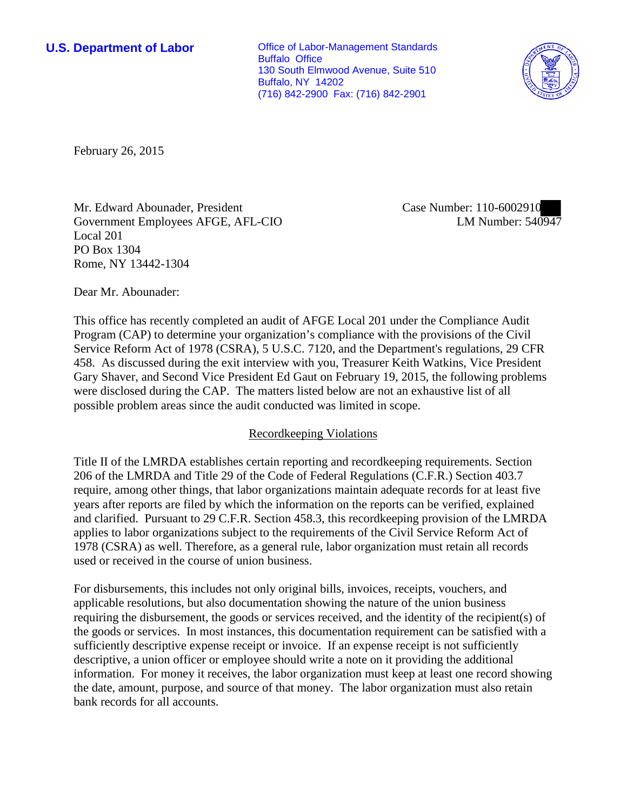**U.S. Department of Labor Conservative Conservative Conservative Conservative Conservative Conservative Conservative Conservative Conservative Conservative Conservative Conservative Conservative Conservative Conservative** Buffalo Office 130 South Elmwood Avenue, Suite 510 Buffalo, NY 14202 (716) 842-2900 Fax: (716) 842-2901



February 26, 2015

Mr. Edward Abounader, President Government Employees AFGE, AFL-CIO Local 201 PO Box 1304 Rome, NY 13442-1304

Case Number: 110-6002910 LM Number: 540947

Dear Mr. Abounader:

This office has recently completed an audit of AFGE Local 201 under the Compliance Audit Program (CAP) to determine your organization's compliance with the provisions of the Civil Service Reform Act of 1978 (CSRA), 5 U.S.C. 7120, and the Department's regulations, 29 CFR 458. As discussed during the exit interview with you, Treasurer Keith Watkins, Vice President Gary Shaver, and Second Vice President Ed Gaut on February 19, 2015, the following problems were disclosed during the CAP. The matters listed below are not an exhaustive list of all possible problem areas since the audit conducted was limited in scope.

## Recordkeeping Violations

Title II of the LMRDA establishes certain reporting and recordkeeping requirements. Section 206 of the LMRDA and Title 29 of the Code of Federal Regulations (C.F.R.) Section 403.7 require, among other things, that labor organizations maintain adequate records for at least five years after reports are filed by which the information on the reports can be verified, explained and clarified. Pursuant to 29 C.F.R. Section 458.3, this recordkeeping provision of the LMRDA applies to labor organizations subject to the requirements of the Civil Service Reform Act of 1978 (CSRA) as well. Therefore, as a general rule, labor organization must retain all records used or received in the course of union business.

For disbursements, this includes not only original bills, invoices, receipts, vouchers, and applicable resolutions, but also documentation showing the nature of the union business requiring the disbursement, the goods or services received, and the identity of the recipient(s) of the goods or services. In most instances, this documentation requirement can be satisfied with a sufficiently descriptive expense receipt or invoice. If an expense receipt is not sufficiently descriptive, a union officer or employee should write a note on it providing the additional information. For money it receives, the labor organization must keep at least one record showing the date, amount, purpose, and source of that money. The labor organization must also retain bank records for all accounts.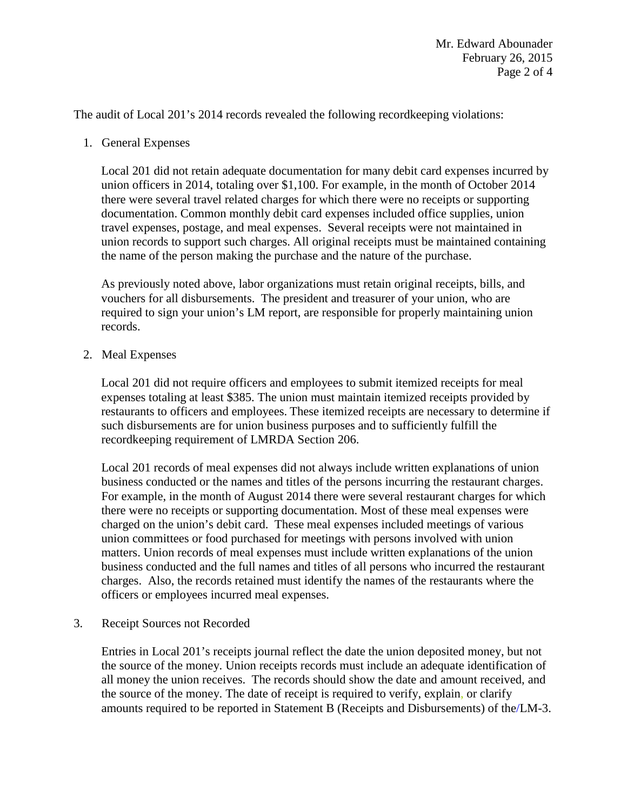The audit of Local 201's 2014 records revealed the following recordkeeping violations:

1. General Expenses

Local 201 did not retain adequate documentation for many debit card expenses incurred by union officers in 2014, totaling over \$1,100. For example, in the month of October 2014 there were several travel related charges for which there were no receipts or supporting documentation. Common monthly debit card expenses included office supplies, union travel expenses, postage, and meal expenses. Several receipts were not maintained in union records to support such charges. All original receipts must be maintained containing the name of the person making the purchase and the nature of the purchase.

As previously noted above, labor organizations must retain original receipts, bills, and vouchers for all disbursements. The president and treasurer of your union, who are required to sign your union's LM report, are responsible for properly maintaining union records.

2. Meal Expenses

Local 201 did not require officers and employees to submit itemized receipts for meal expenses totaling at least \$385. The union must maintain itemized receipts provided by restaurants to officers and employees. These itemized receipts are necessary to determine if such disbursements are for union business purposes and to sufficiently fulfill the recordkeeping requirement of LMRDA Section 206.

Local 201 records of meal expenses did not always include written explanations of union business conducted or the names and titles of the persons incurring the restaurant charges. For example, in the month of August 2014 there were several restaurant charges for which there were no receipts or supporting documentation. Most of these meal expenses were charged on the union's debit card. These meal expenses included meetings of various union committees or food purchased for meetings with persons involved with union matters. Union records of meal expenses must include written explanations of the union business conducted and the full names and titles of all persons who incurred the restaurant charges. Also, the records retained must identify the names of the restaurants where the officers or employees incurred meal expenses.

3. Receipt Sources not Recorded

Entries in Local 201's receipts journal reflect the date the union deposited money, but not the source of the money. Union receipts records must include an adequate identification of all money the union receives. The records should show the date and amount received, and the source of the money. The date of receipt is required to verify, explain, or clarify amounts required to be reported in Statement B (Receipts and Disbursements) of the/LM-3.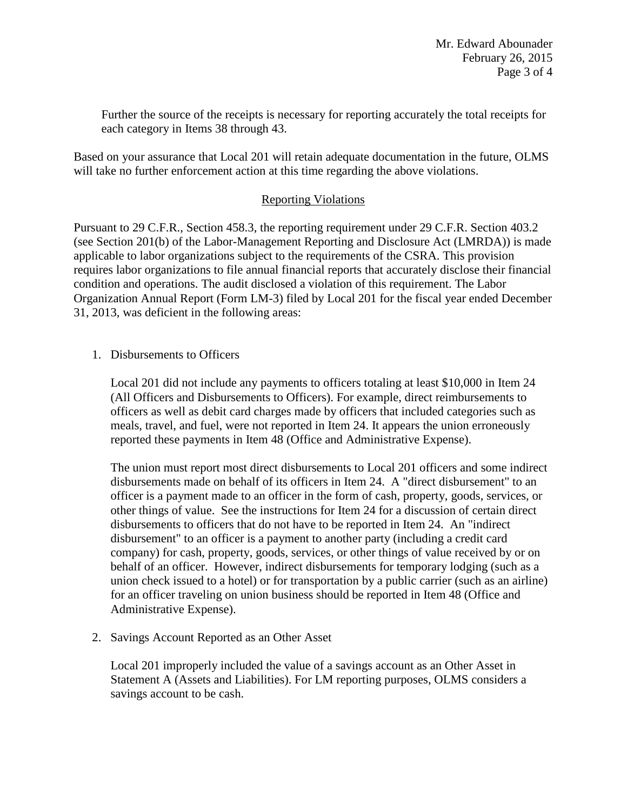Further the source of the receipts is necessary for reporting accurately the total receipts for each category in Items 38 through 43.

Based on your assurance that Local 201 will retain adequate documentation in the future, OLMS will take no further enforcement action at this time regarding the above violations.

## Reporting Violations

Pursuant to 29 C.F.R., Section 458.3, the reporting requirement under 29 C.F.R. Section 403.2 (see Section 201(b) of the Labor-Management Reporting and Disclosure Act (LMRDA)) is made applicable to labor organizations subject to the requirements of the CSRA. This provision requires labor organizations to file annual financial reports that accurately disclose their financial condition and operations. The audit disclosed a violation of this requirement. The Labor Organization Annual Report (Form LM-3) filed by Local 201 for the fiscal year ended December 31, 2013, was deficient in the following areas:

1. Disbursements to Officers

Local 201 did not include any payments to officers totaling at least \$10,000 in Item 24 (All Officers and Disbursements to Officers). For example, direct reimbursements to officers as well as debit card charges made by officers that included categories such as meals, travel, and fuel, were not reported in Item 24. It appears the union erroneously reported these payments in Item 48 (Office and Administrative Expense).

The union must report most direct disbursements to Local 201 officers and some indirect disbursements made on behalf of its officers in Item 24. A "direct disbursement" to an officer is a payment made to an officer in the form of cash, property, goods, services, or other things of value. See the instructions for Item 24 for a discussion of certain direct disbursements to officers that do not have to be reported in Item 24. An "indirect disbursement" to an officer is a payment to another party (including a credit card company) for cash, property, goods, services, or other things of value received by or on behalf of an officer. However, indirect disbursements for temporary lodging (such as a union check issued to a hotel) or for transportation by a public carrier (such as an airline) for an officer traveling on union business should be reported in Item 48 (Office and Administrative Expense).

2. Savings Account Reported as an Other Asset

Local 201 improperly included the value of a savings account as an Other Asset in Statement A (Assets and Liabilities). For LM reporting purposes, OLMS considers a savings account to be cash.